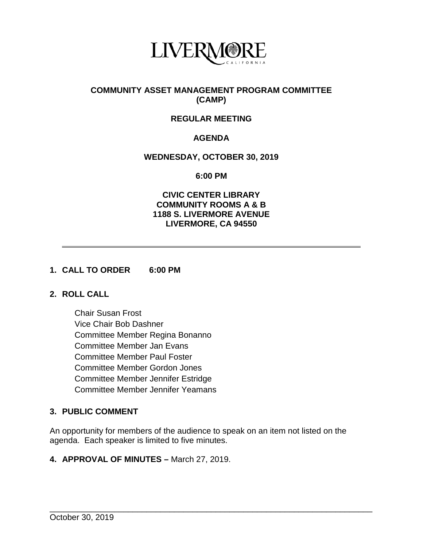

# **COMMUNITY ASSET MANAGEMENT PROGRAM COMMITTEE (CAMP)**

# **REGULAR MEETING**

# **AGENDA**

### **WEDNESDAY, OCTOBER 30, 2019**

**6:00 PM**

### **CIVIC CENTER LIBRARY COMMUNITY ROOMS A & B 1188 S. LIVERMORE AVENUE LIVERMORE, CA 94550**

## **1. CALL TO ORDER 6:00 PM**

# **2. ROLL CALL**

Chair Susan Frost Vice Chair Bob Dashner Committee Member Regina Bonanno Committee Member Jan Evans Committee Member Paul Foster Committee Member Gordon Jones Committee Member Jennifer Estridge Committee Member Jennifer Yeamans

# **3. PUBLIC COMMENT**

An opportunity for members of the audience to speak on an item not listed on the agenda. Each speaker is limited to five minutes.

\_\_\_\_\_\_\_\_\_\_\_\_\_\_\_\_\_\_\_\_\_\_\_\_\_\_\_\_\_\_\_\_\_\_\_\_\_\_\_\_\_\_\_\_\_\_\_\_\_\_\_\_\_\_\_\_\_\_\_\_\_\_\_\_\_\_\_\_\_\_

#### **4. APPROVAL OF MINUTES –** March 27, 2019.